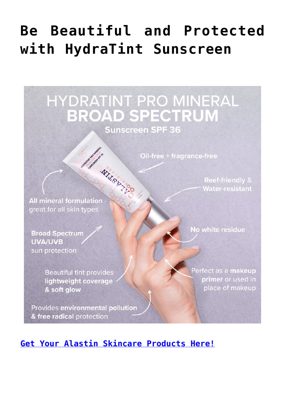## Be Beautiful and Protected with HydraTint Sunscreen

HYDRATINT PRO MINERAL **BROAD SPECTRUM Sunscreen SPF 36** 

Oil-free + fragrance-free

WILLISBATED **All mineral formulation** great for all skin types

Sustangeland

**Broad Spectrum UVA/UVB** sun protection

> **Beautiful tint provides** lightweight coverage & soft glow

Provides environmental pollution & free radical protection

No white residue

**Reef-friendly & Water-resistant** 

Perfect as a makeup primer or used in place of makeup

Get Your Alastin Skincare Products Here!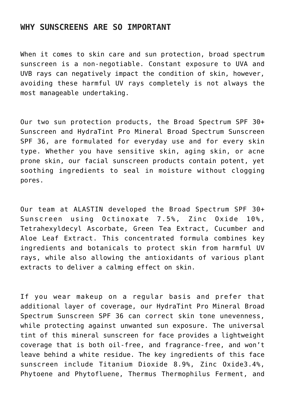## **WHY SUNSCREENS ARE SO IMPORTANT**

When it comes to skin care and sun protection, broad spectrum sunscreen is a non-negotiable. Constant exposure to UVA and UVB rays can negatively impact the condition of skin, however, avoiding these harmful UV rays completely is not always the most manageable undertaking.

Our two sun protection products, the Broad Spectrum SPF 30+ Sunscreen and HydraTint Pro Mineral Broad Spectrum Sunscreen SPF 36, are formulated for everyday use and for every skin type. Whether you have sensitive skin, aging skin, or acne prone skin, our facial sunscreen products contain potent, yet soothing ingredients to seal in moisture without clogging pores.

Our team at ALASTIN developed the Broad Spectrum SPF 30+ Sunscreen using Octinoxate 7.5%, Zinc Oxide 10%, Tetrahexyldecyl Ascorbate, Green Tea Extract, Cucumber and Aloe Leaf Extract. This concentrated formula combines key ingredients and botanicals to protect skin from harmful UV rays, while also allowing the antioxidants of various plant extracts to deliver a calming effect on skin.

If you wear makeup on a regular basis and prefer that additional layer of coverage, our HydraTint Pro Mineral Broad Spectrum Sunscreen SPF 36 can correct skin tone unevenness, while protecting against unwanted sun exposure. The universal tint of this mineral sunscreen for face provides a lightweight coverage that is both oil-free, and fragrance-free, and won't leave behind a white residue. The key ingredients of this face sunscreen include Titanium Dioxide 8.9%, Zinc Oxide3.4%, Phytoene and Phytofluene, Thermus Thermophilus Ferment, and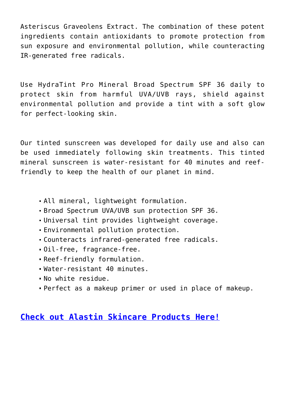Asteriscus Graveolens Extract. The combination of these potent ingredients contain antioxidants to promote protection from sun exposure and environmental pollution, while counteracting IR-generated free radicals.

Use HydraTint Pro Mineral Broad Spectrum SPF 36 daily to protect skin from harmful UVA/UVB rays, shield against environmental pollution and provide a tint with a soft glow for perfect-looking skin.

Our tinted sunscreen was developed for daily use and also can be used immediately following skin treatments. This tinted mineral sunscreen is water-resistant for 40 minutes and reeffriendly to keep the health of our planet in mind.

- All mineral, lightweight formulation.
- Broad Spectrum UVA/UVB sun protection SPF 36.
- Universal tint provides lightweight coverage.
- Environmental pollution protection.
- Counteracts infrared-generated free radicals.
- Oil-free, fragrance-free.
- Reef-friendly formulation.
- Water-resistant 40 minutes.
- No white residue.
- Perfect as a makeup primer or used in place of makeup.

## **[Check out Alastin Skincare Products Here!](https://www.alastin.com/sproutshealth)**